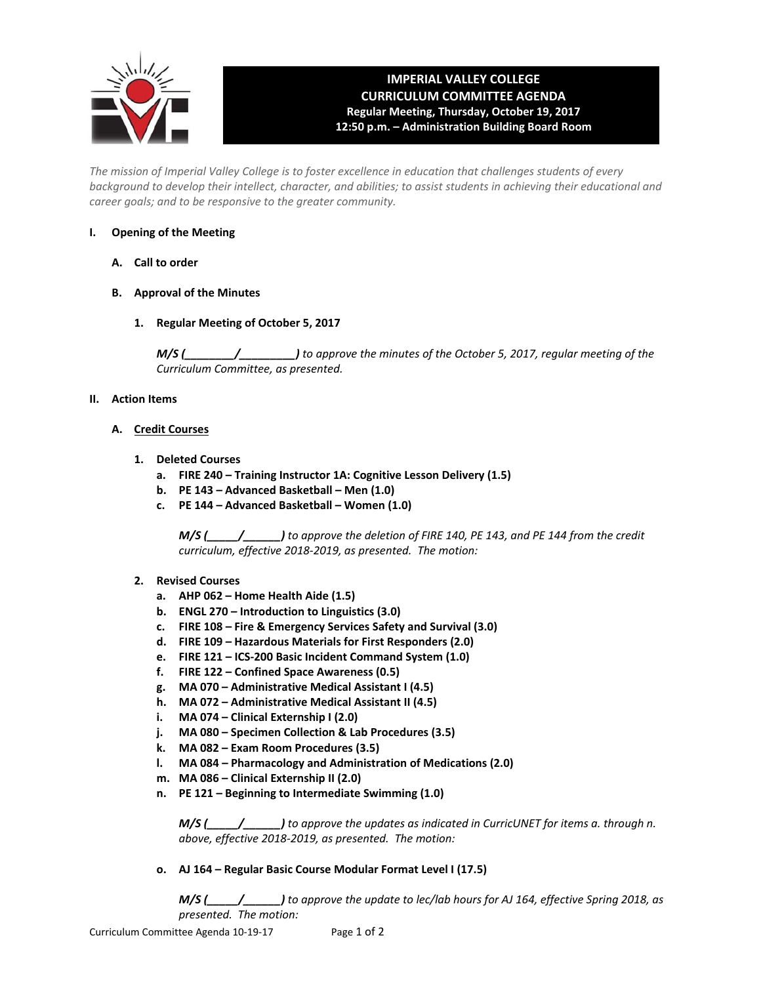

## **IMPERIAL VALLEY COLLEGE CURRICULUM COMMITTEE AGENDA Regular Meeting, Thursday, October 19, 2017 12:50 p.m. – Administration Building Board Room**

*The mission of Imperial Valley College is to foster excellence in education that challenges students of every background to develop their intellect, character, and abilities; to assist students in achieving their educational and career goals; and to be responsive to the greater community.* 

## **I. Opening of the Meeting**

- **A. Call to order**
- **B. Approval of the Minutes** 
	- **1. Regular Meeting of October 5, 2017**

*M/S (\_\_\_\_\_\_\_\_/\_\_\_\_\_\_\_\_\_) to approve the minutes of the October 5, 2017, regular meeting of the Curriculum Committee, as presented.* 

## **II. Action Items**

- **A. Credit Courses** 
	- **1. Deleted Courses** 
		- **a. FIRE 240 Training Instructor 1A: Cognitive Lesson Delivery (1.5)**
		- **b. PE 143 Advanced Basketball Men (1.0)**
		- **c. PE 144 Advanced Basketball Women (1.0)**

*M/S (\_\_\_\_\_/\_\_\_\_\_\_) to approve the deletion of FIRE 140, PE 143, and PE 144 from the credit curriculum, effective 2018‐2019, as presented. The motion:* 

- **2. Revised Courses** 
	- **a. AHP 062 Home Health Aide (1.5)**
	- **b. ENGL 270 Introduction to Linguistics (3.0)**
	- **c. FIRE 108 Fire & Emergency Services Safety and Survival (3.0)**
	- **d. FIRE 109 Hazardous Materials for First Responders (2.0)**
	- **e. FIRE 121 ICS‐200 Basic Incident Command System (1.0)**
	- **f. FIRE 122 Confined Space Awareness (0.5)**
	- **g. MA 070 Administrative Medical Assistant I (4.5)**
	- **h. MA 072 Administrative Medical Assistant II (4.5)**
	- **i. MA 074 Clinical Externship I (2.0)**
	- **j. MA 080 Specimen Collection & Lab Procedures (3.5)**
	- **k. MA 082 Exam Room Procedures (3.5)**
	- **l. MA 084 Pharmacology and Administration of Medications (2.0)**
	- **m. MA 086 Clinical Externship II (2.0)**
	- **n. PE 121 Beginning to Intermediate Swimming (1.0)**

*M/S (\_\_\_\_\_/\_\_\_\_\_\_) to approve the updates as indicated in CurricUNET for items a. through n. above, effective 2018‐2019, as presented. The motion:* 

**o. AJ 164 – Regular Basic Course Modular Format Level I (17.5)** 

*M/S (\_\_\_\_\_/\_\_\_\_\_\_) to approve the update to lec/lab hours for AJ 164, effective Spring 2018, as presented. The motion:*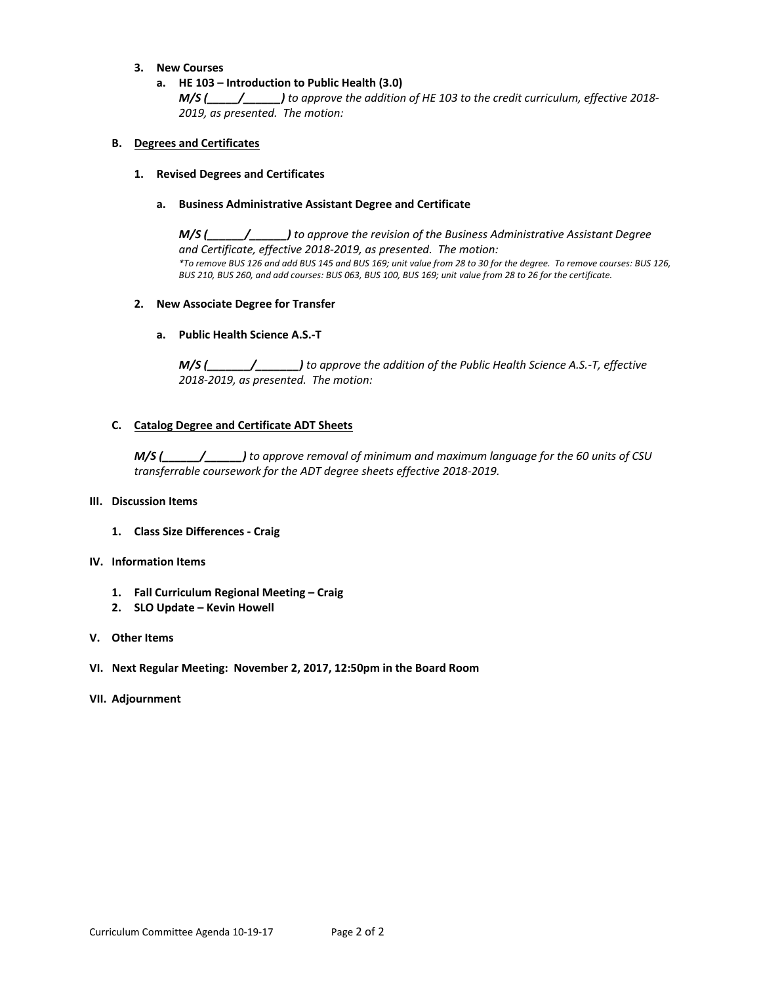## **3. New Courses**

**a. HE 103 – Introduction to Public Health (3.0)** 

*M/S (\_\_\_\_\_/\_\_\_\_\_\_) to approve the addition of HE 103 to the credit curriculum, effective 2018‐ 2019, as presented. The motion:* 

## **B. Degrees and Certificates**

#### **1. Revised Degrees and Certificates**

## **a. Business Administrative Assistant Degree and Certificate**

*M/S (\_\_\_\_\_\_/\_\_\_\_\_\_) to approve the revision of the Business Administrative Assistant Degree and Certificate, effective 2018‐2019, as presented. The motion: \*To remove BUS 126 and add BUS 145 and BUS 169; unit value from 28 to 30 for the degree. To remove courses: BUS 126, BUS 210, BUS 260, and add courses: BUS 063, BUS 100, BUS 169; unit value from 28 to 26 for the certificate.* 

## **2. New Associate Degree for Transfer**

## **a. Public Health Science A.S.‐T**

*M/S (\_\_\_\_\_\_\_/\_\_\_\_\_\_\_) to approve the addition of the Public Health Science A.S.‐T, effective 2018‐2019, as presented. The motion:* 

## **C. Catalog Degree and Certificate ADT Sheets**

*M/S (\_\_\_\_\_\_/\_\_\_\_\_\_) to approve removal of minimum and maximum language for the 60 units of CSU transferrable coursework for the ADT degree sheets effective 2018‐2019.* 

#### **III. Discussion Items**

**1. Class Size Differences ‐ Craig** 

#### **IV. Information Items**

- **1. Fall Curriculum Regional Meeting Craig**
- **2. SLO Update Kevin Howell**

## **V. Other Items**

**VI. Next Regular Meeting: November 2, 2017, 12:50pm in the Board Room**

#### **VII. Adjournment**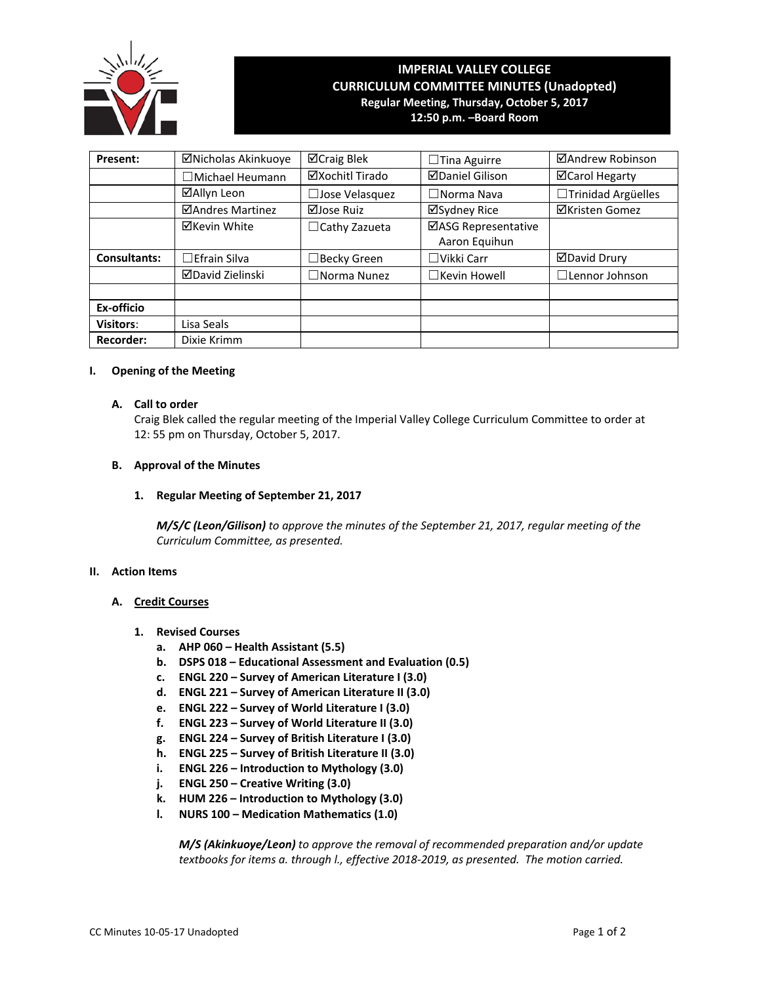

# **IMPERIAL VALLEY COLLEGE CURRICULUM COMMITTEE MINUTES (Unadopted) Regular Meeting, Thursday, October 5, 2017**

**12:50 p.m. –Board Room**

| Present:            | ⊠Nicholas Akinkuoye    | ⊠Craig Blek           | $\Box$ Tina Aguirre                  | ⊠Andrew Robinson      |  |  |
|---------------------|------------------------|-----------------------|--------------------------------------|-----------------------|--|--|
|                     | $\Box$ Michael Heumann | ⊠Xochitl Tirado       | <b>ØDaniel Gilison</b>               | <b>⊠Carol Hegarty</b> |  |  |
|                     | ⊠Allyn Leon            | □Jose Velasquez       | $\Box$ Norma Nava                    | □Trinidad Argüelles   |  |  |
|                     | ⊠Andres Martinez       | ⊠Jose Ruiz            | ⊠Sydney Rice                         | <b>⊠Kristen Gomez</b> |  |  |
|                     | <b>⊠Kevin White</b>    | $\Box$ Cathy Zazueta  | ⊠ASG Representative<br>Aaron Equihun |                       |  |  |
| <b>Consultants:</b> | $\Box$ Efrain Silva    | $\Box$ Becky Green    | $\Box$ Vikki Carr                    | <b>ØDavid Drury</b>   |  |  |
|                     | ⊠David Zielinski       | $\square$ Norma Nunez | $\Box$ Kevin Howell                  | $\Box$ Lennor Johnson |  |  |
| Ex-officio          |                        |                       |                                      |                       |  |  |
| <b>Visitors:</b>    | Lisa Seals             |                       |                                      |                       |  |  |
| <b>Recorder:</b>    | Dixie Krimm            |                       |                                      |                       |  |  |

#### **I. Opening of the Meeting**

## **A. Call to order**

Craig Blek called the regular meeting of the Imperial Valley College Curriculum Committee to order at 12: 55 pm on Thursday, October 5, 2017.

#### **B. Approval of the Minutes**

**1. Regular Meeting of September 21, 2017**

*M/S/C (Leon/Gilison) to approve the minutes of the September 21, 2017, regular meeting of the Curriculum Committee, as presented.* 

#### **II. Action Items**

## **A. Credit Courses**

- **1. Revised Courses**
	- **a. AHP 060 – Health Assistant (5.5)**
	- **b. DSPS 018 – Educational Assessment and Evaluation (0.5)**
	- **c. ENGL 220 – Survey of American Literature I (3.0)**
	- **d. ENGL 221 – Survey of American Literature II (3.0)**
	- **e. ENGL 222 – Survey of World Literature I (3.0)**
	- **f. ENGL 223 – Survey of World Literature II (3.0)**
	- **g. ENGL 224 – Survey of British Literature I (3.0)**
	- **h. ENGL 225 – Survey of British Literature II (3.0)**
	- **i. ENGL 226 – Introduction to Mythology (3.0)**
	- **j. ENGL 250 – Creative Writing (3.0)**
	- **k. HUM 226 – Introduction to Mythology (3.0)**
	- **l. NURS 100 – Medication Mathematics (1.0)**

*M/S (Akinkuoye/Leon) to approve the removal of recommended preparation and/or update textbooks for items a. through l., effective 2018-2019, as presented. The motion carried.*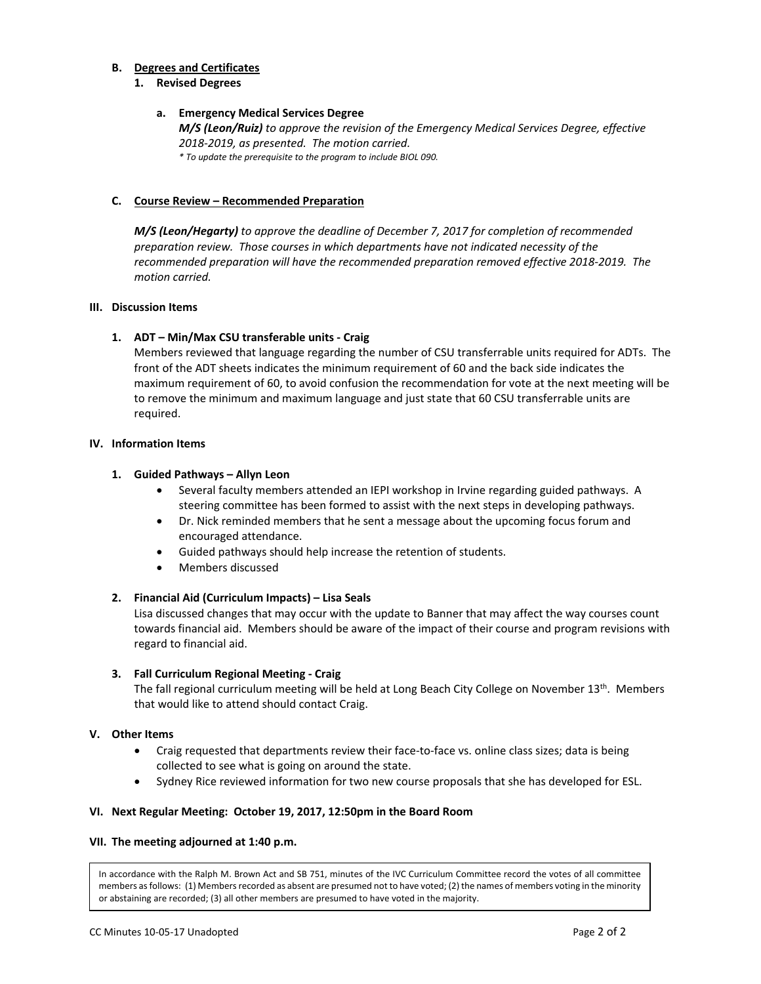## **B. Degrees and Certificates**

#### **1. Revised Degrees**

## **a. Emergency Medical Services Degree**

*M/S (Leon/Ruiz) to approve the revision of the Emergency Medical Services Degree, effective 2018-2019, as presented. The motion carried. \* To update the prerequisite to the program to include BIOL 090.*

#### **C. Course Review – Recommended Preparation**

*M/S (Leon/Hegarty) to approve the deadline of December 7, 2017 for completion of recommended preparation review. Those courses in which departments have not indicated necessity of the recommended preparation will have the recommended preparation removed effective 2018-2019. The motion carried.*

## **III. Discussion Items**

## **1. ADT – Min/Max CSU transferable units - Craig**

Members reviewed that language regarding the number of CSU transferrable units required for ADTs. The front of the ADT sheets indicates the minimum requirement of 60 and the back side indicates the maximum requirement of 60, to avoid confusion the recommendation for vote at the next meeting will be to remove the minimum and maximum language and just state that 60 CSU transferrable units are required.

## **IV. Information Items**

#### **1. Guided Pathways – Allyn Leon**

- Several faculty members attended an IEPI workshop in Irvine regarding guided pathways. A steering committee has been formed to assist with the next steps in developing pathways.
- Dr. Nick reminded members that he sent a message about the upcoming focus forum and encouraged attendance.
- Guided pathways should help increase the retention of students.
- Members discussed

## **2. Financial Aid (Curriculum Impacts) – Lisa Seals**

Lisa discussed changes that may occur with the update to Banner that may affect the way courses count towards financial aid. Members should be aware of the impact of their course and program revisions with regard to financial aid.

#### **3. Fall Curriculum Regional Meeting - Craig**

The fall regional curriculum meeting will be held at Long Beach City College on November 13<sup>th</sup>. Members that would like to attend should contact Craig.

#### **V. Other Items**

- Craig requested that departments review their face-to-face vs. online class sizes; data is being collected to see what is going on around the state.
- Sydney Rice reviewed information for two new course proposals that she has developed for ESL.

#### **VI. Next Regular Meeting: October 19, 2017, 12:50pm in the Board Room**

#### **VII. The meeting adjourned at 1:40 p.m.**

In accordance with the Ralph M. Brown Act and SB 751, minutes of the IVC Curriculum Committee record the votes of all committee members as follows: (1) Members recorded as absent are presumed not to have voted; (2) the names of members voting in the minority or abstaining are recorded; (3) all other members are presumed to have voted in the majority.